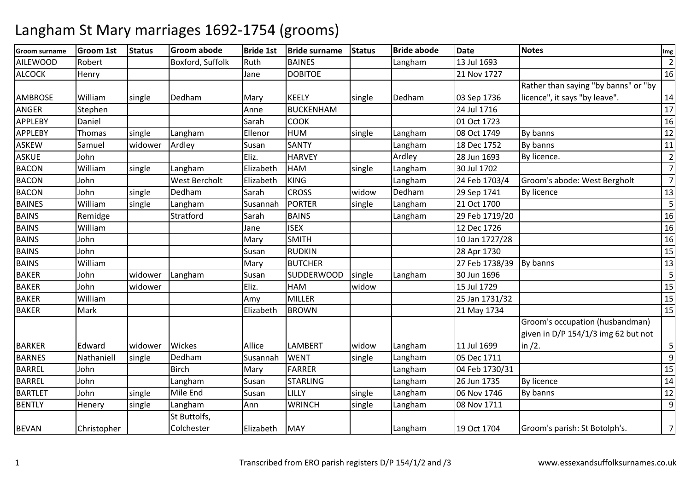#### **Groom surnameGroom 1st Status Groom abode**<br>Robert **Boxford, Suffolk Bride 1st Bride surname Status Bride abode Date Notes Img** AILEWOODD Robert Boxford, Suffolk Ruth BAINES Langham 13 Jul 1693 <sup>2</sup> ALCOCK Henry Jane DOBITOE 21 Nov 1727 <sup>16</sup> AMBROSE William Single Dedham m Mary KEELY single Dedham 03 Sep 1736 Rather than saying "by banns" or "by licence", it says "by leave". 14 $17$ ANGERR Stephen Anne BUCKENHAM 24 Jul 1716 <sup>17</sup> **APPLERY** Y Daniel National Sarah COOK 01 Oct 1723 <sup>16</sup> APPLEBYThomas Isingle LanghamEllenor HUM<br>Susan SANTY M single Langham 08 Oct 1749 By banns 12<br>12 MBY 120 MBY 120 Dec 1753 By banns 144 ASKEWW Samuel widower Ardley Susan SANTY Langham 18 Dec 1752 By banns 11 Publishers 11<br>The Labor Language Susan Elizabeth Hardley Ardley 20 Jun 1603 Publishers 120 June 1603 Publishers 12 ASKUE John Eliz. HARVEY Ardley 28 Jun 1693 By licence. <sup>2</sup> BACONWilliam<br>Iohn single Langham Elizabeth HAM single Langham 30 Jul 1702 7 7**BACON** N John West Bercholt Elizabeth KING Langham Langham 24 Feb 1703/4 Groom's abode: West Bergholt<br>Dedham 29 Sep 1741 By licence  $13$ BACONN John single Dedham m Sarah CROSS widow Dedham 29 Sep 1741 By licence 13<br>13 Sep 1741 By licence 13 BAINES William single Langham Susannah PORTER single Langham 21 Oct 1700 <sup>5</sup> **BAINS**  Remidge**Stratford**  SarahBAINS Langham<br>ISEX 29 Feb 1719/20 16<br>12 Dec 1726 16 BAINS William Jane ISEX 12 Dec 1726 <sup>16</sup> BAINS Johnn | Mary SMITH 10 Jan 1727/28 <sup>16</sup> BAINS John Susan RUDKINN 28 Apr 1730 15 BAINS William Mary BUTCHER 27 Feb 1738/39 By banns <sup>13</sup> **BAKFR** John **Widower Langham**<br>John widower Susan SUDDERWOOD single Langham 30 Jun 1696 <sup>5</sup> BAKERR John widower Eliz. <mark>HAM</mark> M widow 15 Jul 1729 15<br>15 November 1721 1722 1724 1724 1722 1724 1725 1736 1747 1747 175 BAKERWilliam<br>Mark Amy MILLER 25 Jan 1731/32 <sup>15</sup> BAKERR Mark | Register | Register | Register | Register | Register | REIzabeth | BROWN N 21 May 1734 221 May 1734 221 May 1734 221 May 1734 221 May 1734 221 May 1734 221 May 1734 BARKER Edward widower Wickes Allice LAMBERT widow widow Langham<br>single Langham 11 Jul 1699<br>05 Dec 1711 Groom's occupation (husbandman) given in D/P 154/1/3 img 62 but not in /2. 5 9BARNES Nathaniell singleDedham<br>Birch Susannah WENT single Langham 05 Dec 1711 15 BARREL Johnn Birch Mary FARRER EARRER Langham<br>STARLING Langham 04 Feb 1730/31 <sup>15</sup> BARREL JohnLangham<br>Mile End m Susan STARLING Langham 26 Jun 1735 By licence 14<br>19 Susan Star Langham 26 Jun 1735 By licence BARTLET Johnn Single Mile End Susan LILLY Single Langham m 06 Nov 1746 By banns 12<br>
as we have a set of the set of the set of the set of the set of the set of the set of the set of the set of t BENTLY Henery single Langhamm Ann WRINCH single Langham 08 Nov 1711 9BEVAN Christopher St Buttolfs, Colchesterr Flizabeth MAY | Langham Langham 19 Oct 1704 Groom's parish: St Botolph's. 7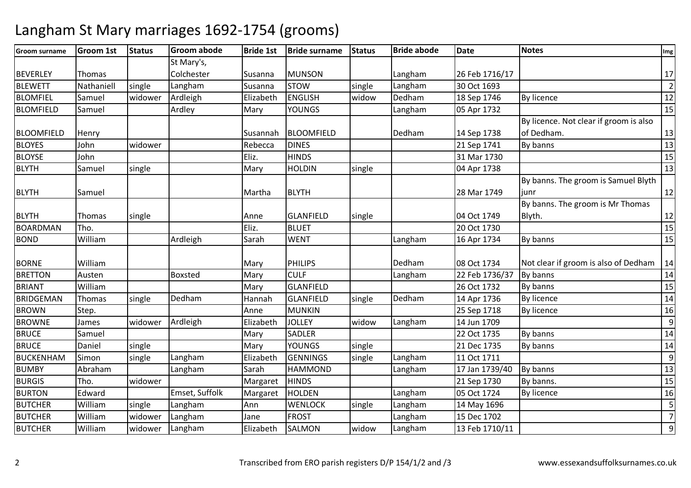#### **Groom surname Groom 1st Status Groom abode Bride 1st Bride surname Status Bride abode Date Notes Img** BEVERLEY Thomas St Mary's, ColchesterSusanna **MUNSON** Langham<br>
single Langham 26 Feb 1716/17 2<br>30 Oct 1693 2 BLEWETT Nathaniell single LanghamLangham Susanna STOW<br>Ardleigh Elizabeth ENGLI: single Langham 30 Oct 1693 <sup>2</sup> BLOMFIELSamuel Widower Elizabeth<br>Mary ENGLISHENGLISH widow<br>YOUNGS Dedham<br>Langham m 18 Sep 1746 By licence 12<br>
12 Sep 1746 By licence BLOMFIELDD Samuel | Ardley | Mary YOUNGS | Langham m 15 Dollard 1732 15<br>By licence. Not clear if groom is also BLOOMFIELD Henry Susannah BLOOMFIELD Dedham14 Sep 1738<br>21 Sep 1741 of Dedham.. 13 13 BLOYES Johnn widower Rebecca DINES | 21 Sep 1741 By banns | 13 BLOYSE John Eliz. HINDS 31 Mar 1730 <sup>15</sup> BLYTHH Samuel single Mary HOLDIN N Single 13 BLYTH Samuel **Martha** BLYTH **BLYTH** 1 1 28 Mar 1749 By banns. The groom is Samuel Blyth junrr  $12$ BLYTH Thomas single Anne GLANFIELD single 104 Oct 1749 20 Oct 1730 By banns. The groom is Mr Thomas Blyth. $\sim$  12  $\overline{15}$ BOARDMANN Tho. 15 BOND Williamm Ardleigh Sarah WENT Langham 16 Apr 1734 By banns 15 BORNE William William Mary PHILIPS Dedham Dedham 14 08 Oct 1734 Not clear if groom is also of Dedham 14<br>Langham 22 Feb 1736/37 By banns 14 **BRETTON** N Austen Boxsted Mary CULF Langham 22 Feb 1736/37 By banns 14<br>26 Oct 1732 By banns 15 BRIANT William Mary GLANFIELD 26 Oct 1732 By banns <sup>15</sup> BRIDGEMANThomas single Dedham<br>Step. m 14 Hannah GLANFIELD single Dedham 14 Apr 1736 By licence 14 Apr 174 Apr 174 Apr 174 By licence 14 Apr 174 Apr 174 Apr 174 Apr 174 Apr 174 Apr 174 Apr 174 Apr 174 Apr 174 Apr 174 Apr 174 Apr 174 Apr 174 Apr 175 Apr 176 Ap BROWNN Step. Anne MUNKIN 25 Sep 1718 By licence 16 BROWNEJames Iwidower Ardleigh ElizabethJOLLEY widow<br>SADLER Langham14 Jun 1709<br>22 Oct 1735 914 **BRUCE**  Samuel Mary SADLERR 22 Oct 1735 By banns 14 **BRUCE** Daniel single e | Mary YOUNGS | single | 21 Dec 1735 21 Dec 1735 By banns 14 BUCKENHAM Simon single Langham Elizabeth GENNINGS single Langham 11 Oct 1711 913 BUMBYAbraham<br>Tho. m Langham Sarah HAMMOND Langham 17 Jan 1739/40 By banns 13<br>13 Mac 17 Jan 1739/40 By banns 13 BURGISS Tho. widower Margaret HINDS | 21 Sep 1730 21 Sep 1730 By banns.<br>05 Oct 1724 By licence 16 BURTONN Edward Emset, Suffolk Margaret HOLDEN Langham m 05 Oct 1724 By licence 16 and 16 BUTCHER William single Langham Ann WENLOCK single Langham 14 May 1696 <sup>5</sup> BUTCHER Williamm widower Langham Jane FROST Langham 15 Dec 1702<br>Langham Langham Langham Langham 15 Dec 1702 7 9BUTCHER Williamm |widower |Langham | Elizabeth | SALMON | widow | Langham | 13 Feb 1710/11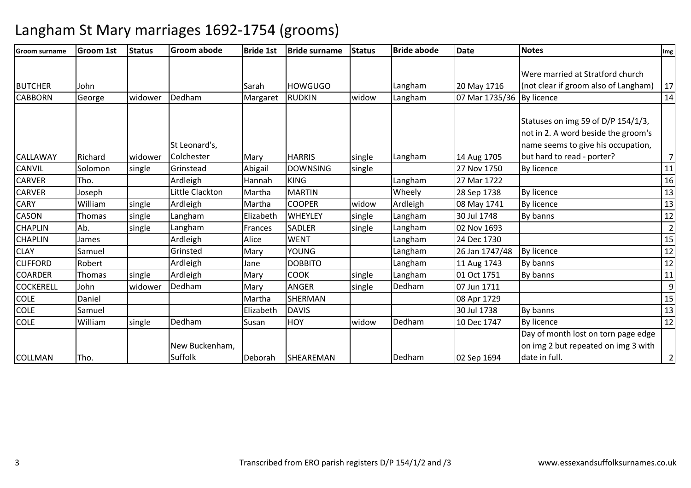| <b>Groom surname</b> | <b>Groom 1st</b> | <b>Status</b> | <b>Groom abode</b> | <b>Bride 1st</b> | <b>Bride surname</b> | <b>Status</b> | <b>Bride abode</b> | <b>Date</b>    | <b>Notes</b>                                                                                                    | Img             |
|----------------------|------------------|---------------|--------------------|------------------|----------------------|---------------|--------------------|----------------|-----------------------------------------------------------------------------------------------------------------|-----------------|
|                      |                  |               |                    |                  |                      |               |                    |                |                                                                                                                 |                 |
|                      |                  |               |                    |                  |                      |               |                    |                | Were married at Stratford church                                                                                |                 |
| <b>BUTCHER</b>       | John             |               |                    | Sarah            | <b>HOWGUGO</b>       |               | Langham            | 20 May 1716    | (not clear if groom also of Langham)                                                                            | 17              |
| <b>CABBORN</b>       | George           | widower       | Dedham             | Margaret         | <b>RUDKIN</b>        | widow         | Langham            | 07 Mar 1735/36 | By licence                                                                                                      | 14              |
|                      |                  |               | St Leonard's,      |                  |                      |               |                    |                | Statuses on img 59 of D/P 154/1/3,<br>not in 2. A word beside the groom's<br>name seems to give his occupation, |                 |
| <b>CALLAWAY</b>      | Richard          | widower       | Colchester         | Mary             | <b>HARRIS</b>        | single        | Langham            | 14 Aug 1705    | but hard to read - porter?                                                                                      | $\overline{7}$  |
| CANVIL               | Solomon          | single        | Grinstead          | Abigail          | <b>DOWNSING</b>      | single        |                    | 27 Nov 1750    | By licence                                                                                                      | 11              |
| <b>CARVER</b>        | Tho.             |               | Ardleigh           | Hannah           | <b>KING</b>          |               | Langham            | 27 Mar 1722    |                                                                                                                 | 16              |
| <b>CARVER</b>        | Joseph           |               | Little Clackton    | Martha           | <b>MARTIN</b>        |               | Wheely             | 28 Sep 1738    | By licence                                                                                                      | 13              |
| CARY                 | William          | single        | Ardleigh           | Martha           | <b>COOPER</b>        | widow         | Ardleigh           | 08 May 1741    | By licence                                                                                                      | 13              |
| CASON                | <b>Thomas</b>    | single        | Langham            | Elizabeth        | <b>WHEYLEY</b>       | single        | Langham            | 30 Jul 1748    | By banns                                                                                                        | 12              |
| <b>CHAPLIN</b>       | Ab.              | single        | Langham            | Frances          | <b>SADLER</b>        | single        | Langham            | 02 Nov 1693    |                                                                                                                 | $\overline{2}$  |
| <b>CHAPLIN</b>       | James            |               | Ardleigh           | Alice            | <b>WENT</b>          |               | Langham            | 24 Dec 1730    |                                                                                                                 | 15              |
| <b>CLAY</b>          | Samuel           |               | Grinsted           | Mary             | <b>YOUNG</b>         |               | Langham            | 26 Jan 1747/48 | By licence                                                                                                      | 12              |
| <b>CLIFFORD</b>      | Robert           |               | Ardleigh           | Jane             | <b>DOBBITO</b>       |               | Langham            | 11 Aug 1743    | By banns                                                                                                        | $\overline{12}$ |
| <b>COARDER</b>       | Thomas           | single        | Ardleigh           | Mary             | COOK                 | single        | Langham            | 01 Oct 1751    | By banns                                                                                                        | 11              |
| <b>COCKERELL</b>     | John             | widower       | Dedham             | Mary             | <b>ANGER</b>         | single        | Dedham             | 07 Jun 1711    |                                                                                                                 | $\overline{9}$  |
| COLE                 | Daniel           |               |                    | Martha           | SHERMAN              |               |                    | 08 Apr 1729    |                                                                                                                 | 15              |
| <b>COLE</b>          | Samuel           |               |                    | Elizabeth        | <b>DAVIS</b>         |               |                    | 30 Jul 1738    | By banns                                                                                                        | $\overline{13}$ |
| COLE                 | William          | single        | Dedham             | Susan            | <b>HOY</b>           | widow         | Dedham             | 10 Dec 1747    | By licence                                                                                                      | 12              |
|                      |                  |               | New Buckenham,     |                  |                      |               |                    |                | Day of month lost on torn page edge<br>on img 2 but repeated on img 3 with                                      |                 |
| <b>COLLMAN</b>       | Tho.             |               | Suffolk            | Deborah          | SHEAREMAN            |               | Dedham             | 02 Sep 1694    | date in full.                                                                                                   | $\overline{2}$  |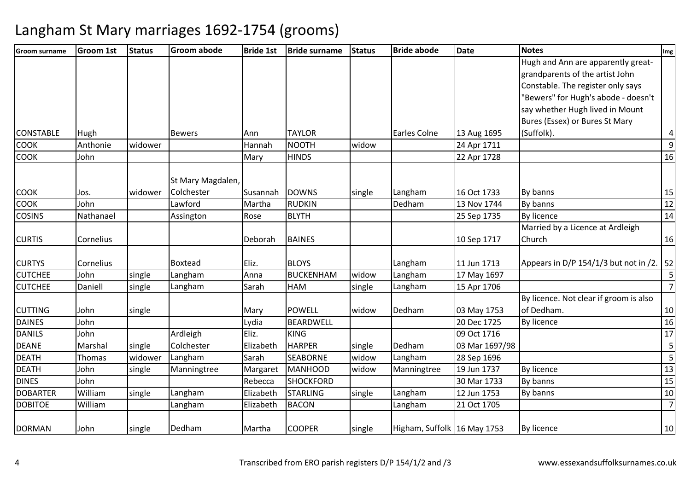| <b>Groom surname</b> | <b>Groom 1st</b> | <b>Status</b> | <b>Groom abode</b> | <b>Bride 1st</b> | <b>Bride surname</b> | Status | <b>Bride abode</b>          | <b>Date</b>    | <b>Notes</b>                           | Img                     |
|----------------------|------------------|---------------|--------------------|------------------|----------------------|--------|-----------------------------|----------------|----------------------------------------|-------------------------|
|                      |                  |               |                    |                  |                      |        |                             |                | Hugh and Ann are apparently great-     |                         |
|                      |                  |               |                    |                  |                      |        |                             |                | grandparents of the artist John        |                         |
|                      |                  |               |                    |                  |                      |        |                             |                | Constable. The register only says      |                         |
|                      |                  |               |                    |                  |                      |        |                             |                | "Bewers" for Hugh's abode - doesn't    |                         |
|                      |                  |               |                    |                  |                      |        |                             |                | say whether Hugh lived in Mount        |                         |
|                      |                  |               |                    |                  |                      |        |                             |                | Bures (Essex) or Bures St Mary         |                         |
| <b>CONSTABLE</b>     | Hugh             |               | <b>Bewers</b>      | Ann              | <b>TAYLOR</b>        |        | Earles Colne                | 13 Aug 1695    | (Suffolk).                             | 4                       |
| <b>COOK</b>          | Anthonie         | widower       |                    | Hannah           | <b>NOOTH</b>         | widow  |                             | 24 Apr 1711    |                                        | $\overline{9}$          |
| <b>COOK</b>          | John             |               |                    | Mary             | <b>HINDS</b>         |        |                             | 22 Apr 1728    |                                        | 16                      |
|                      |                  |               | St Mary Magdalen,  |                  |                      |        |                             |                |                                        |                         |
| <b>COOK</b>          | Jos.             | widower       | Colchester         | Susannah         | <b>DOWNS</b>         | single | Langham                     | 16 Oct 1733    | By banns                               | 15                      |
| <b>COOK</b>          | John             |               | Lawford            | Martha           | <b>RUDKIN</b>        |        | Dedham                      | 13 Nov 1744    | By banns                               | 12                      |
| <b>COSINS</b>        | Nathanael        |               | Assington          | Rose             | <b>BLYTH</b>         |        |                             | 25 Sep 1735    | <b>By licence</b>                      | 14                      |
|                      |                  |               |                    |                  |                      |        |                             |                | Married by a Licence at Ardleigh       |                         |
| <b>CURTIS</b>        | Cornelius        |               |                    | Deborah          | <b>BAINES</b>        |        |                             | 10 Sep 1717    | Church                                 | 16                      |
| <b>CURTYS</b>        | Cornelius        |               | <b>Boxtead</b>     | Eliz.            | <b>BLOYS</b>         |        | Langham                     | 11 Jun 1713    | Appears in D/P 154/1/3 but not in /2.  | 52                      |
| <b>CUTCHEE</b>       | John             | single        | Langham            | Anna             | <b>BUCKENHAM</b>     | widow  | Langham                     | 17 May 1697    |                                        | 5                       |
| <b>CUTCHEE</b>       | Daniell          | single        | Langham            | Sarah            | <b>HAM</b>           | single | Langham                     | 15 Apr 1706    |                                        | $\overline{z}$          |
|                      |                  |               |                    |                  |                      |        |                             |                | By licence. Not clear if groom is also |                         |
| <b>CUTTING</b>       | John             | single        |                    | Mary             | <b>POWELL</b>        | widow  | Dedham                      | 03 May 1753    | of Dedham.                             | 10                      |
| <b>DAINES</b>        | John             |               |                    | Lydia            | <b>BEARDWELL</b>     |        |                             | 20 Dec 1725    | <b>By licence</b>                      | 16                      |
| <b>DANILS</b>        | John             |               | Ardleigh           | Eliz.            | <b>KING</b>          |        |                             | 09 Oct 1716    |                                        | $\overline{17}$         |
| <b>DEANE</b>         | Marshal          | single        | Colchester         | Elizabeth        | <b>HARPER</b>        | single | Dedham                      | 03 Mar 1697/98 |                                        | 5                       |
| <b>DEATH</b>         | Thomas           | widower       | Langham            | Sarah            | <b>SEABORNE</b>      | widow  | Langham                     | 28 Sep 1696    |                                        | $\overline{\mathbf{5}}$ |
| <b>DEATH</b>         | John             | single        | Manningtree        | Margaret         | <b>MANHOOD</b>       | widow  | Manningtree                 | 19 Jun 1737    | <b>By licence</b>                      | 13                      |
| <b>DINES</b>         | John             |               |                    | Rebecca          | <b>SHOCKFORD</b>     |        |                             | 30 Mar 1733    | By banns                               | 15                      |
| <b>DOBARTER</b>      | William          | single        | Langham            | Elizabeth        | <b>STARLING</b>      | single | Langham                     | 12 Jun 1753    | By banns                               | 10                      |
| <b>DOBITOE</b>       | William          |               | Langham            | Elizabeth        | <b>BACON</b>         |        | Langham                     | 21 Oct 1705    |                                        | $\overline{7}$          |
| <b>DORMAN</b>        | John             | single        | Dedham             | Martha           | <b>COOPER</b>        | single | Higham, Suffolk 16 May 1753 |                | By licence                             | 10                      |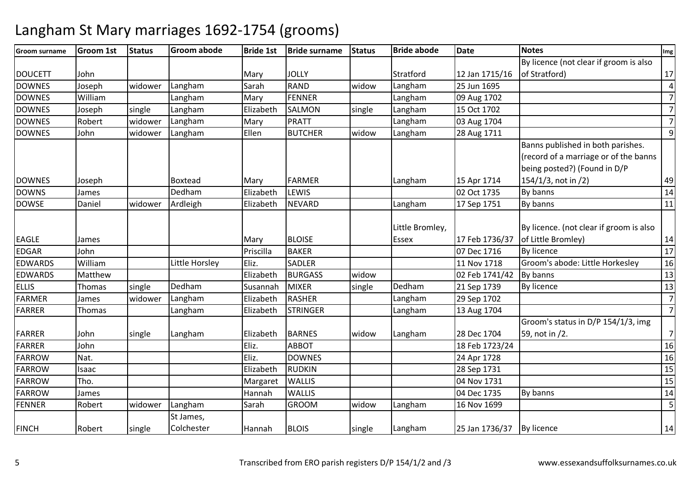| Groom surname  | <b>Groom 1st</b> | <b>Status</b> | <b>Groom abode</b> | <b>Bride 1st</b> | <b>Bride surname</b> | <b>Status</b> | <b>Bride abode</b> | <b>Date</b>    | <b>Notes</b>                                                               | Img            |
|----------------|------------------|---------------|--------------------|------------------|----------------------|---------------|--------------------|----------------|----------------------------------------------------------------------------|----------------|
|                |                  |               |                    |                  |                      |               |                    |                | By licence (not clear if groom is also                                     |                |
| <b>DOUCETT</b> | John             |               |                    | Mary             | <b>JOLLY</b>         |               | Stratford          | 12 Jan 1715/16 | of Stratford)                                                              | 17             |
| <b>DOWNES</b>  | Joseph           | widower       | Langham            | Sarah            | <b>RAND</b>          | widow         | Langham            | 25 Jun 1695    |                                                                            | $\overline{4}$ |
| <b>DOWNES</b>  | William          |               | Langham            | Mary             | <b>FENNER</b>        |               | Langham            | 09 Aug 1702    |                                                                            | $\overline{7}$ |
| <b>DOWNES</b>  | Joseph           | single        | Langham            | Elizabeth        | <b>SALMON</b>        | single        | Langham            | 15 Oct 1702    |                                                                            | $\overline{7}$ |
| <b>DOWNES</b>  | Robert           | widower       | Langham            | Mary             | PRATT                |               | Langham            | 03 Aug 1704    |                                                                            | $\overline{7}$ |
| <b>DOWNES</b>  | John             | widower       | Langham            | Ellen            | <b>BUTCHER</b>       | widow         | Langham            | 28 Aug 1711    |                                                                            | $\overline{9}$ |
|                |                  |               |                    |                  |                      |               |                    |                | Banns published in both parishes.<br>(record of a marriage or of the banns |                |
|                |                  |               |                    |                  |                      |               |                    |                | being posted?) (Found in D/P                                               |                |
| <b>DOWNES</b>  | Joseph           |               | <b>Boxtead</b>     | Mary             | <b>FARMER</b>        |               | Langham            | 15 Apr 1714    | 154/1/3, not in /2)                                                        | 49             |
| <b>DOWNS</b>   | James            |               | Dedham             | Elizabeth        | LEWIS                |               |                    | 02 Oct 1735    | By banns                                                                   | 14             |
| <b>DOWSE</b>   | Daniel           | widower       | Ardleigh           | Elizabeth        | <b>NEVARD</b>        |               | Langham            | 17 Sep 1751    | By banns                                                                   | 11             |
|                |                  |               |                    |                  |                      |               | Little Bromley,    |                | By licence. (not clear if groom is also                                    |                |
| <b>EAGLE</b>   | James            |               |                    | Mary             | <b>BLOISE</b>        |               | Essex              | 17 Feb 1736/37 | of Little Bromley)                                                         | 14             |
| <b>EDGAR</b>   | John             |               |                    | Priscilla        | <b>BAKER</b>         |               |                    | 07 Dec 1716    | By licence                                                                 | 17             |
| <b>EDWARDS</b> | William          |               | Little Horsley     | Eliz.            | <b>SADLER</b>        |               |                    | 11 Nov 1718    | Groom's abode: Little Horkesley                                            | 16             |
| <b>EDWARDS</b> | Matthew          |               |                    | Elizabeth        | <b>BURGASS</b>       | widow         |                    | 02 Feb 1741/42 | By banns                                                                   | 13             |
| <b>ELLIS</b>   | Thomas           | single        | Dedham             | Susannah         | <b>MIXER</b>         | single        | Dedham             | 21 Sep 1739    | <b>By licence</b>                                                          | 13             |
| <b>FARMER</b>  | James            | widower       | Langham            | Elizabeth        | <b>RASHER</b>        |               | Langham            | 29 Sep 1702    |                                                                            | $\overline{7}$ |
| <b>FARRER</b>  | Thomas           |               | Langham            | Elizabeth        | <b>STRINGER</b>      |               | Langham            | 13 Aug 1704    |                                                                            | $\overline{7}$ |
|                |                  |               |                    |                  |                      |               |                    |                | Groom's status in D/P 154/1/3, img                                         |                |
| FARRER         | John             | single        | Langham            | Elizabeth        | <b>BARNES</b>        | widow         | Langham            | 28 Dec 1704    | 59, not in /2.                                                             | $\overline{7}$ |
| <b>FARRER</b>  | John             |               |                    | Eliz.            | <b>ABBOT</b>         |               |                    | 18 Feb 1723/24 |                                                                            | 16             |
| FARROW         | Nat.             |               |                    | Eliz.            | <b>DOWNES</b>        |               |                    | 24 Apr 1728    |                                                                            | 16             |
| <b>FARROW</b>  | Isaac            |               |                    | Elizabeth        | <b>RUDKIN</b>        |               |                    | 28 Sep 1731    |                                                                            | 15             |
| <b>FARROW</b>  | Tho.             |               |                    | Margaret         | <b>WALLIS</b>        |               |                    | 04 Nov 1731    |                                                                            | 15             |
| <b>FARROW</b>  | James            |               |                    | Hannah           | <b>WALLIS</b>        |               |                    | 04 Dec 1735    | By banns                                                                   | 14             |
| <b>FENNER</b>  | Robert           | widower       | Langham            | Sarah            | <b>GROOM</b>         | widow         | Langham            | 16 Nov 1699    |                                                                            | 5              |
|                |                  |               | St James,          |                  |                      |               |                    |                |                                                                            |                |
| <b>FINCH</b>   | Robert           | single        | Colchester         | Hannah           | <b>BLOIS</b>         | single        | Langham            | 25 Jan 1736/37 | By licence                                                                 | 14             |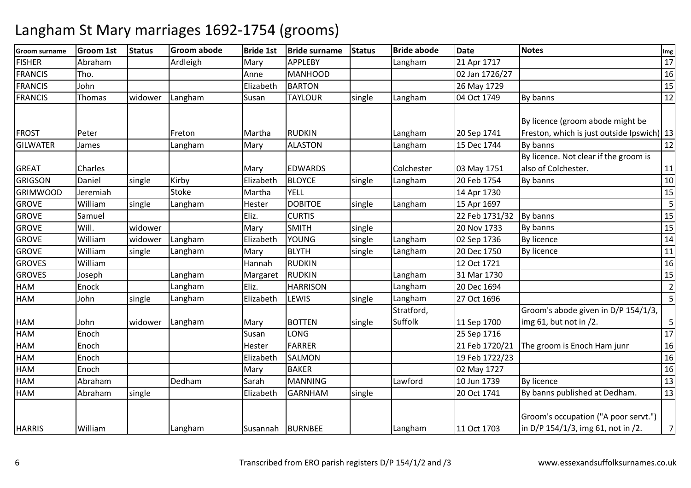| <b>Groom surname</b> | Groom 1st | <b>Status</b> | <b>Groom abode</b> | <b>Bride 1st</b> | <b>Bride surname</b> | <b>Status</b> | <b>Bride abode</b>    | Date           | <b>Notes</b>                                                                   | Img             |
|----------------------|-----------|---------------|--------------------|------------------|----------------------|---------------|-----------------------|----------------|--------------------------------------------------------------------------------|-----------------|
| <b>FISHER</b>        | Abraham   |               | Ardleigh           | Mary             | <b>APPLEBY</b>       |               | Langham               | 21 Apr 1717    |                                                                                | 17              |
| <b>FRANCIS</b>       | Tho.      |               |                    | Anne             | <b>MANHOOD</b>       |               |                       | 02 Jan 1726/27 |                                                                                | 16              |
| <b>FRANCIS</b>       | John      |               |                    | Elizabeth        | <b>BARTON</b>        |               |                       | 26 May 1729    |                                                                                | 15              |
| <b>FRANCIS</b>       | Thomas    | widower       | Langham            | Susan            | <b>TAYLOUR</b>       | single        | Langham               | 04 Oct 1749    | By banns                                                                       | 12              |
| <b>FROST</b>         | Peter     |               | Freton             | Martha           | <b>RUDKIN</b>        |               | Langham               | 20 Sep 1741    | By licence (groom abode might be<br>Freston, which is just outside Ipswich) 13 |                 |
| <b>GILWATER</b>      | James     |               | Langham            | Mary             | <b>ALASTON</b>       |               | Langham               | 15 Dec 1744    | By banns                                                                       | 12              |
| <b>GREAT</b>         | Charles   |               |                    | Mary             | <b>EDWARDS</b>       |               | Colchester            | 03 May 1751    | By licence. Not clear if the groom is<br>also of Colchester.                   | 11              |
| <b>GRIGSON</b>       | Daniel    | single        | Kirby              | Elizabeth        | <b>BLOYCE</b>        | single        | Langham               | 20 Feb 1754    | By banns                                                                       | 10              |
| <b>GRIMWOOD</b>      | Jeremiah  |               | <b>Stoke</b>       | Martha           | <b>YELL</b>          |               |                       | 14 Apr 1730    |                                                                                | 15              |
| <b>GROVE</b>         | William   | single        | Langham            | Hester           | <b>DOBITOE</b>       | single        | Langham               | 15 Apr 1697    |                                                                                | 5               |
| <b>GROVE</b>         | Samuel    |               |                    | Eliz.            | <b>CURTIS</b>        |               |                       | 22 Feb 1731/32 | By banns                                                                       | 15              |
| <b>GROVE</b>         | Will.     | widower       |                    | Mary             | <b>SMITH</b>         | single        |                       | 20 Nov 1733    | By banns                                                                       | 15              |
| <b>GROVE</b>         | William   | widower       | Langham            | Elizabeth        | <b>YOUNG</b>         | single        | Langham               | 02 Sep 1736    | By licence                                                                     | 14              |
| <b>GROVE</b>         | William   | single        | Langham            | Mary             | <b>BLYTH</b>         | single        | Langham               | 20 Dec 1750    | By licence                                                                     | 11              |
| <b>GROVES</b>        | William   |               |                    | Hannah           | <b>RUDKIN</b>        |               |                       | 12 Oct 1721    |                                                                                | 16              |
| <b>GROVES</b>        | Joseph    |               | Langham            | Margaret         | <b>RUDKIN</b>        |               | Langham               | 31 Mar 1730    |                                                                                | 15              |
| <b>HAM</b>           | Enock     |               | Langham            | Eliz.            | <b>HARRISON</b>      |               | Langham               | 20 Dec 1694    |                                                                                | $\overline{2}$  |
| HAM                  | John      | single        | Langham            | Elizabeth        | LEWIS                | single        | Langham               | 27 Oct 1696    |                                                                                | 5               |
| <b>HAM</b>           | John      | widower       | Langham            | Mary             | <b>BOTTEN</b>        | single        | Stratford,<br>Suffolk | 11 Sep 1700    | Groom's abode given in D/P 154/1/3,<br>img $61$ , but not in $/2$ .            | 5               |
| <b>HAM</b>           | Enoch     |               |                    | Susan            | LONG                 |               |                       | 25 Sep 1716    |                                                                                | $\overline{17}$ |
| HAM                  | Enoch     |               |                    | Hester           | <b>FARRER</b>        |               |                       | 21 Feb 1720/21 | The groom is Enoch Ham junr                                                    | 16              |
| HAM                  | Enoch     |               |                    | Elizabeth        | <b>SALMON</b>        |               |                       | 19 Feb 1722/23 |                                                                                | 16              |
| <b>HAM</b>           | Enoch     |               |                    | Mary             | <b>BAKER</b>         |               |                       | 02 May 1727    |                                                                                | 16              |
| <b>HAM</b>           | Abraham   |               | Dedham             | Sarah            | <b>MANNING</b>       |               | Lawford               | 10 Jun 1739    | <b>By licence</b>                                                              | 13              |
| <b>HAM</b>           | Abraham   | single        |                    | Elizabeth        | <b>GARNHAM</b>       | single        |                       | 20 Oct 1741    | By banns published at Dedham.                                                  | 13              |
| <b>HARRIS</b>        | William   |               | Langham            | Susannah         | <b>BURNBEE</b>       |               | Langham               | 11 Oct 1703    | Groom's occupation ("A poor servt.")<br>in D/P 154/1/3, img 61, not in /2.     | $\overline{7}$  |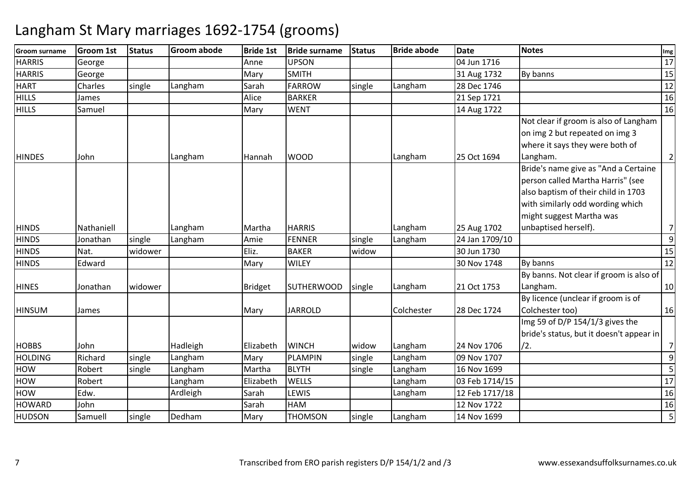| <b>Groom surname</b> | <b>Groom 1st</b> | <b>Status</b> | <b>Groom abode</b> | <b>Bride 1st</b> | <b>Bride surname</b> | <b>Status</b> | <b>Bride abode</b> | <b>Date</b>    | <b>Notes</b>                             | Img            |
|----------------------|------------------|---------------|--------------------|------------------|----------------------|---------------|--------------------|----------------|------------------------------------------|----------------|
| <b>HARRIS</b>        | George           |               |                    | Anne             | <b>UPSON</b>         |               |                    | 04 Jun 1716    |                                          | 17             |
| <b>HARRIS</b>        | George           |               |                    | Mary             | <b>SMITH</b>         |               |                    | 31 Aug 1732    | By banns                                 | 15             |
| <b>HART</b>          | Charles          | single        | Langham            | Sarah            | <b>FARROW</b>        | single        | Langham            | 28 Dec 1746    |                                          | 12             |
| <b>HILLS</b>         | James            |               |                    | Alice            | <b>BARKER</b>        |               |                    | 21 Sep 1721    |                                          | 16             |
| <b>HILLS</b>         | Samuel           |               |                    | Mary             | <b>WENT</b>          |               |                    | 14 Aug 1722    |                                          | 16             |
|                      |                  |               |                    |                  |                      |               |                    |                | Not clear if groom is also of Langham    |                |
|                      |                  |               |                    |                  |                      |               |                    |                | on img 2 but repeated on img 3           |                |
|                      |                  |               |                    |                  |                      |               |                    |                | where it says they were both of          |                |
| <b>HINDES</b>        | John             |               | Langham            | Hannah           | <b>WOOD</b>          |               | Langham            | 25 Oct 1694    | Langham.                                 | $\overline{2}$ |
|                      |                  |               |                    |                  |                      |               |                    |                | Bride's name give as "And a Certaine     |                |
|                      |                  |               |                    |                  |                      |               |                    |                | person called Martha Harris" (see        |                |
|                      |                  |               |                    |                  |                      |               |                    |                | also baptism of their child in 1703      |                |
|                      |                  |               |                    |                  |                      |               |                    |                | with similarly odd wording which         |                |
|                      |                  |               |                    |                  |                      |               |                    |                | might suggest Martha was                 |                |
| <b>HINDS</b>         | Nathaniell       |               | Langham            | Martha           | <b>HARRIS</b>        |               | Langham            | 25 Aug 1702    | unbaptised herself).                     | $\overline{7}$ |
| <b>HINDS</b>         | Jonathan         | single        | Langham            | Amie             | <b>FENNER</b>        | single        | Langham            | 24 Jan 1709/10 |                                          | $\overline{9}$ |
| <b>HINDS</b>         | Nat.             | widower       |                    | Eliz.            | <b>BAKER</b>         | widow         |                    | 30 Jun 1730    |                                          | 15             |
| <b>HINDS</b>         | Edward           |               |                    | Mary             | <b>WILEY</b>         |               |                    | 30 Nov 1748    | By banns                                 | 12             |
|                      |                  |               |                    |                  |                      |               |                    |                | By banns. Not clear if groom is also of  |                |
| <b>HINES</b>         | Jonathan         | widower       |                    | <b>Bridget</b>   | <b>SUTHERWOOD</b>    | single        | Langham            | 21 Oct 1753    | Langham.                                 | 10             |
|                      |                  |               |                    |                  |                      |               |                    |                | By licence (unclear if groom is of       |                |
| <b>HINSUM</b>        | James            |               |                    | Mary             | <b>JARROLD</b>       |               | Colchester         | 28 Dec 1724    | Colchester too)                          | 16             |
|                      |                  |               |                    |                  |                      |               |                    |                | Img 59 of D/P 154/1/3 gives the          |                |
|                      |                  |               |                    |                  |                      |               |                    |                | bride's status, but it doesn't appear in |                |
| <b>HOBBS</b>         | John             |               | Hadleigh           | Elizabeth        | <b>WINCH</b>         | widow         | Langham            | 24 Nov 1706    | /2.                                      | 7              |
| <b>HOLDING</b>       | Richard          | single        | Langham            | Mary             | <b>PLAMPIN</b>       | single        | Langham            | 09 Nov 1707    |                                          | $\overline{9}$ |
| <b>HOW</b>           | Robert           | single        | Langham            | Martha           | <b>BLYTH</b>         | single        | Langham            | 16 Nov 1699    |                                          | $\overline{5}$ |
| HOW                  | Robert           |               | Langham            | Elizabeth        | <b>WELLS</b>         |               | Langham            | 03 Feb 1714/15 |                                          | 17             |
| <b>HOW</b>           | Edw.             |               | Ardleigh           | Sarah            | LEWIS                |               | Langham            | 12 Feb 1717/18 |                                          | 16             |
| <b>HOWARD</b>        | John             |               |                    | Sarah            | <b>HAM</b>           |               |                    | 12 Nov 1722    |                                          | 16             |
| <b>HUDSON</b>        | Samuell          | single        | Dedham             | Mary             | <b>THOMSON</b>       | single        | Langham            | 14 Nov 1699    |                                          | 5 <sub>l</sub> |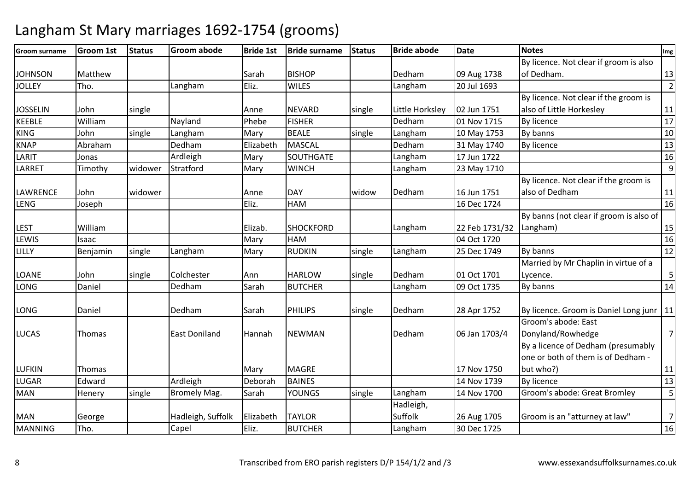| Groom surname   | <b>Groom 1st</b> | <b>Status</b> | <b>Groom abode</b>   | <b>Bride 1st</b> | <b>Bride surname</b> | <b>Status</b> | <b>Bride abode</b> | <b>Date</b>    | <b>Notes</b>                                     | Img              |
|-----------------|------------------|---------------|----------------------|------------------|----------------------|---------------|--------------------|----------------|--------------------------------------------------|------------------|
|                 |                  |               |                      |                  |                      |               |                    |                | By licence. Not clear if groom is also           |                  |
| <b>JOHNSON</b>  | Matthew          |               |                      | Sarah            | <b>BISHOP</b>        |               | Dedham             | 09 Aug 1738    | of Dedham.                                       | 13               |
| <b>JOLLEY</b>   | Tho.             |               | Langham              | Eliz.            | <b>WILES</b>         |               | Langham            | 20 Jul 1693    |                                                  | $\overline{2}$   |
|                 |                  |               |                      |                  |                      |               |                    |                | By licence. Not clear if the groom is            |                  |
| <b>JOSSELIN</b> | John             | single        |                      | Anne             | <b>NEVARD</b>        | single        | Little Horksley    | 02 Jun 1751    | also of Little Horkesley                         | 11               |
| KEEBLE          | William          |               | Nayland              | Phebe            | <b>FISHER</b>        |               | Dedham             | 01 Nov 1715    | By licence                                       | 17               |
| <b>KING</b>     | John             | single        | Langham              | Mary             | <b>BEALE</b>         | single        | Langham            | 10 May 1753    | By banns                                         | 10               |
| <b>KNAP</b>     | Abraham          |               | Dedham               | Elizabeth        | <b>MASCAL</b>        |               | Dedham             | 31 May 1740    | <b>By licence</b>                                | 13               |
| LARIT           | Jonas            |               | Ardleigh             | Mary             | SOUTHGATE            |               | Langham            | 17 Jun 1722    |                                                  | 16               |
| LARRET          | Timothy          | widower       | Stratford            | Mary             | <b>WINCH</b>         |               | Langham            | 23 May 1710    |                                                  | 9                |
|                 |                  |               |                      |                  |                      |               |                    |                | By licence. Not clear if the groom is            |                  |
| LAWRENCE        | John             | widower       |                      | Anne             | <b>DAY</b>           | widow         | Dedham             | 16 Jun 1751    | also of Dedham                                   | 11<br>16         |
| <b>LENG</b>     | Joseph           |               |                      | Eliz.            | HAM                  |               |                    | 16 Dec 1724    |                                                  |                  |
|                 |                  |               |                      |                  |                      |               |                    |                | By banns (not clear if groom is also of          |                  |
| <b>LEST</b>     | William          |               |                      | Elizab.          | <b>SHOCKFORD</b>     |               | Langham            | 22 Feb 1731/32 | Langham)                                         | 15               |
| LEWIS           | Isaac            |               |                      | Mary             | HAM                  |               |                    | 04 Oct 1720    |                                                  | 16               |
| LILLY           | Benjamin         | single        | Langham              | Mary             | <b>RUDKIN</b>        | single        | Langham            | 25 Dec 1749    | By banns                                         | 12               |
| <b>LOANE</b>    | John             | single        | Colchester           | Ann              | <b>HARLOW</b>        | single        | Dedham             | 01 Oct 1701    | Married by Mr Chaplin in virtue of a<br>Lycence. | $\overline{5}$   |
| <b>LONG</b>     | Daniel           |               | Dedham               | Sarah            | <b>BUTCHER</b>       |               | Langham            | 09 Oct 1735    | By banns                                         | 14               |
|                 |                  |               |                      |                  |                      |               |                    |                |                                                  |                  |
| LONG            | Daniel           |               | Dedham               | Sarah            | <b>PHILIPS</b>       | single        | Dedham             | 28 Apr 1752    | By licence. Groom is Daniel Long junr   11       |                  |
|                 |                  |               |                      |                  |                      |               |                    |                | Groom's abode: East                              |                  |
| <b>LUCAS</b>    | Thomas           |               | <b>East Doniland</b> | Hannah           | <b>NEWMAN</b>        |               | Dedham             | 06 Jan 1703/4  | Donyland/Rowhedge                                | $7 \overline{ }$ |
|                 |                  |               |                      |                  |                      |               |                    |                | By a licence of Dedham (presumably               |                  |
|                 |                  |               |                      |                  |                      |               |                    |                | one or both of them is of Dedham -               |                  |
| <b>LUFKIN</b>   | Thomas           |               |                      | Mary             | <b>MAGRE</b>         |               |                    | 17 Nov 1750    | but who?)                                        | 11               |
| LUGAR           | Edward           |               | Ardleigh             | Deborah          | <b>BAINES</b>        |               |                    | 14 Nov 1739    | By licence                                       | 13               |
| <b>MAN</b>      | Henery           | single        | <b>Bromely Mag.</b>  | Sarah            | <b>YOUNGS</b>        | single        | Langham            | 14 Nov 1700    | Groom's abode: Great Bromley                     | 5                |
|                 |                  |               |                      |                  |                      |               | Hadleigh,          |                |                                                  |                  |
| <b>MAN</b>      | George           |               | Hadleigh, Suffolk    | Elizabeth        | <b>TAYLOR</b>        |               | Suffolk            | 26 Aug 1705    | Groom is an "atturney at law"                    | $\overline{7}$   |
| <b>MANNING</b>  | Tho.             |               | Capel                | Eliz.            | <b>BUTCHER</b>       |               | Langham            | 30 Dec 1725    |                                                  | 16               |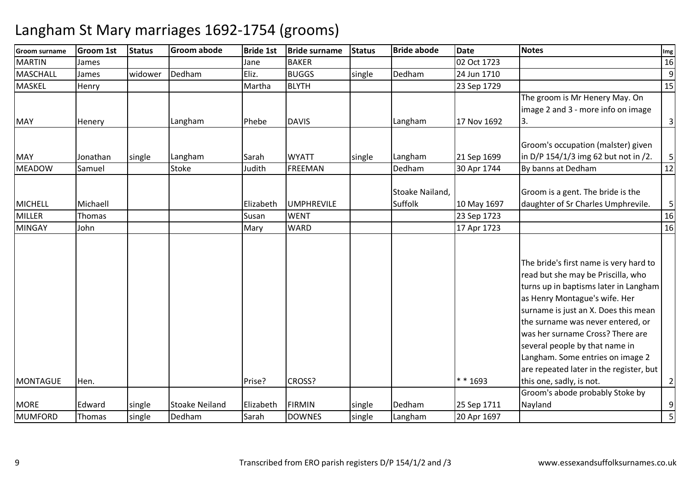| <b>Groom surname</b>           | <b>Groom 1st</b>          | <b>Status</b> | <b>Groom abode</b>      | <b>Bride 1st</b> | <b>Bride surname</b>           | <b>Status</b> | <b>Bride abode</b>         | <b>Date</b>                | <b>Notes</b>                                                                                                                                                                                                                                                                                                                                                                                                         | Img                           |
|--------------------------------|---------------------------|---------------|-------------------------|------------------|--------------------------------|---------------|----------------------------|----------------------------|----------------------------------------------------------------------------------------------------------------------------------------------------------------------------------------------------------------------------------------------------------------------------------------------------------------------------------------------------------------------------------------------------------------------|-------------------------------|
| <b>MARTIN</b>                  | James                     |               |                         | Jane             | <b>BAKER</b>                   |               |                            | 02 Oct 1723                |                                                                                                                                                                                                                                                                                                                                                                                                                      | 16                            |
| MASCHALL                       | James                     | widower       | Dedham                  | Eliz.            | <b>BUGGS</b>                   | single        | Dedham                     | 24 Jun 1710                |                                                                                                                                                                                                                                                                                                                                                                                                                      | 9                             |
| <b>MASKEL</b>                  | Henry                     |               |                         | Martha           | <b>BLYTH</b>                   |               |                            | 23 Sep 1729                |                                                                                                                                                                                                                                                                                                                                                                                                                      | 15                            |
| <b>MAY</b>                     | Henery                    |               | Langham                 | Phebe            | <b>DAVIS</b>                   |               | Langham                    | 17 Nov 1692                | The groom is Mr Henery May. On<br>image 2 and 3 - more info on image<br>3.                                                                                                                                                                                                                                                                                                                                           | $\mathbf{3}$                  |
| <b>MAY</b><br><b>MEADOW</b>    | Jonathan<br>Samuel        | single        | Langham<br><b>Stoke</b> | Sarah<br>Judith  | <b>WYATT</b><br><b>FREEMAN</b> | single        | Langham<br>Dedham          | 21 Sep 1699<br>30 Apr 1744 | Groom's occupation (malster) given<br>in D/P 154/1/3 img 62 but not in /2.<br>By banns at Dedham                                                                                                                                                                                                                                                                                                                     | $\overline{\mathbf{5}}$<br>12 |
| MICHELL                        | Michaell<br><b>Thomas</b> |               |                         | Elizabeth        | <b>UMPHREVILE</b>              |               | Stoake Nailand,<br>Suffolk | 10 May 1697                | Groom is a gent. The bride is the<br>daughter of Sr Charles Umphrevile.                                                                                                                                                                                                                                                                                                                                              | 5                             |
| <b>MILLER</b><br><b>MINGAY</b> | John                      |               |                         | Susan<br>Mary    | <b>WENT</b><br><b>WARD</b>     |               |                            | 23 Sep 1723<br>17 Apr 1723 |                                                                                                                                                                                                                                                                                                                                                                                                                      | 16<br>16                      |
| MONTAGUE                       | Hen.                      |               |                         | Prise?           | CROSS?                         |               |                            | $* * 1693$                 | The bride's first name is very hard to<br>read but she may be Priscilla, who<br>turns up in baptisms later in Langham<br>as Henry Montague's wife. Her<br>surname is just an X. Does this mean<br>the surname was never entered, or<br>was her surname Cross? There are<br>several people by that name in<br>Langham. Some entries on image 2<br>are repeated later in the register, but<br>this one, sadly, is not. | $\overline{2}$                |
|                                |                           |               |                         |                  |                                |               |                            |                            | Groom's abode probably Stoke by                                                                                                                                                                                                                                                                                                                                                                                      |                               |
| <b>MORE</b>                    | Edward                    | single        | <b>Stoake Neiland</b>   | Elizabeth        | <b>FIRMIN</b>                  | single        | Dedham                     | 25 Sep 1711                | Nayland                                                                                                                                                                                                                                                                                                                                                                                                              | 9                             |
| <b>MUMFORD</b>                 | Thomas                    | single        | Dedham                  | Sarah            | <b>DOWNES</b>                  | single        | Langham                    | 20 Apr 1697                |                                                                                                                                                                                                                                                                                                                                                                                                                      | $\overline{5}$                |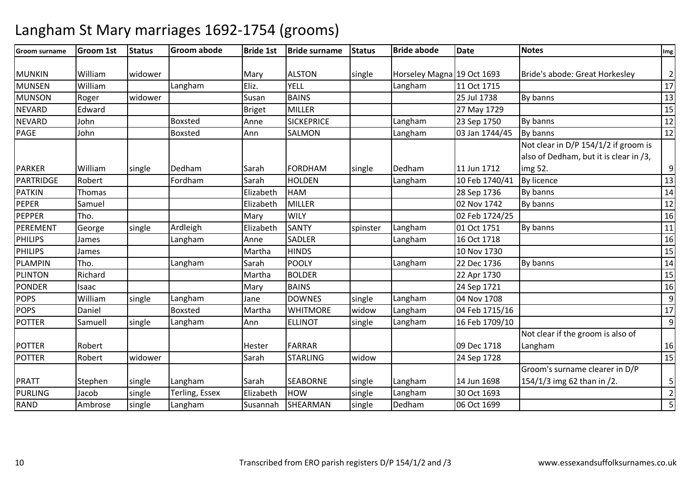#### **Groom surname Groom 1st Status Groom abode Bride 1st Bride surname Status Bride abode Date Notes Img** MUNKIN William widower Mary ALSTON single Horseley Magna 19 Oct 1693<br>MUNSEN William (Langham Eliz. YELL ) Langham 11 Oct 1715 Bride's abode: Great Horkesley 2 MUNSENWilliam<br>Roger Langham Eliz. YELL Langham 11 Oct 1715 <sup>17</sup> MUNSONRoger widower Susan BAINS | 25 Jul 1738 By banns 13 NEVARDEdward **Briget MILLER 127 May 1729** NEVARDD John Boxsted Anne SICKEPRICE Langham m 23 Sep 1750 By banns 12<br>12 PAGE Johnn Boxsted Ann <mark>SALMON</mark> SALMON | Langham 03 Jan 1744/45 By banns 12 PARKER William single Dedham m Sarah FORDHAM single Dedham 11 Jun 1712<br>Leo Leo Lucienno Lucienno Lucienno de La Lucienne Not clear in D/P 154/1/2 if groom is also of Dedham, but it is clear in /3, img 52.9 $\overline{13}$ **PARTRIDGE**  Robert Fordhamm Sarah HOLDEN Langham 10 Feb 1740/41 By licence 13<br>13 April 13 November 13 April 13 November 13 April 13 November 13 April 13 November 13 April 13 November 14 Ap PATKINN Thomas Elizabeth HAM M 28 Sep 1736 By banns 14<br>14 - 28 Sep 1736 By banns 143 PEPER Samuel Elizabeth MILLER 02 Nov 1742 By banns <sup>12</sup> PEPPERR Tho. 16 PEREMENT Georgesingle **Ardleigh**  ElizabethSANTY Spinster Langham<br>SADLER Langham m 01 Oct 1751 By banns 11<br>100 1110 1120 11210 1121 122 PHILIPS James Langhamm Anne SADLER Langham 16 Oct 1718 16<br>16 Anne SADLER Langham 16 Oct 1718 16 PHILIPSS James | Martha Martha HINDS | 10 Nov 1730 0 15 PLAMPINTho. Langham<br>Richard Called Richard m Sarah POOLY Langham 22 Dec 1736 By banns 14<br>14 Sarah POOLY Langham 22 Dec 1736 By banns 14 PLINTONRichard Natha BOLDER 22 Apr 1730 22 Apr 1730 15 PONDERR Isaac National Mary BAINS 24 Sep 1721 24 Sep 1721 16 POPS William single Langham Jane DOWNES single Langham 04 Nov 1708 9 $17$ POPSDaniel **Boxsted** Martha WHITMORE widow<br>Ann ELLINOT single widow Langham<br>single Langham 04 Feb 1715/16<br>16 Feb 1709/10 POTTER Samuell single Langhamm Ann ELLINOT single Langham 16 Feb 1709/10 9POTTER Robert Hester FARRAR 09 Dec 171824 Sep 1728 Not clear if the groom is also of Langhamm 16 POTTERR Robert widower Sarah STARLING STARLING I widow w 24 Sep 1728 15 **PRATT** Stephen single Langham<br>
PURLING Jacob single Terling E m Sarah SEABORNE single Langham 14 Jun 1698<br>Franch Lindon Lindon Lindon Lindon 1600 1600 1600 Groom's surname clearer in D/P 154/1/3 img 62 than in /2. 5 $\overline{2}$ PURLINGsingle Terling, Essex Elizabeth HOW<br>
single Langham Susannah SHEARMAN W single Langham 30 Oct 1693 2<br>20 NAME single Dadbare 06 Oct 1699 2 RANDAmbrose m Susannah SHEARMAN single Dedham 06 Oct 1699 1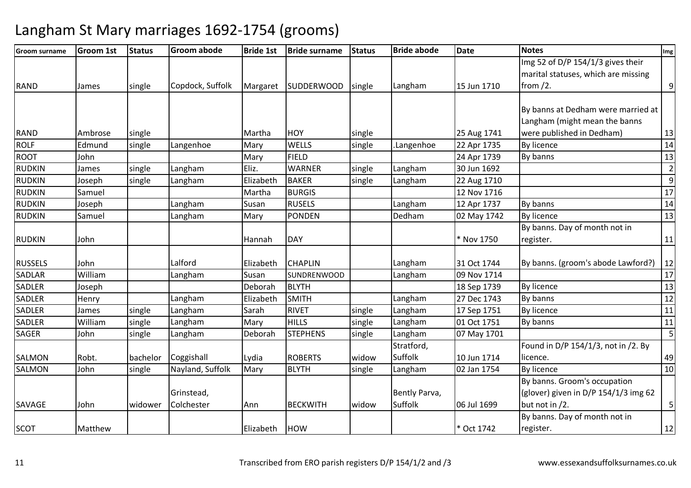| <b>Groom surname</b> | <b>Groom 1st</b> | <b>Status</b> | <b>Groom abode</b> | <b>Bride 1st</b> | <b>Bride surname</b> | <b>Status</b> | <b>Bride abode</b> | <b>Date</b> | <b>Notes</b>                         | Img            |
|----------------------|------------------|---------------|--------------------|------------------|----------------------|---------------|--------------------|-------------|--------------------------------------|----------------|
|                      |                  |               |                    |                  |                      |               |                    |             | Img 52 of D/P 154/1/3 gives their    |                |
|                      |                  |               |                    |                  |                      |               |                    |             | marital statuses, which are missing  |                |
| RAND                 | James            | single        | Copdock, Suffolk   | Margaret         | <b>SUDDERWOOD</b>    | single        | Langham            | 15 Jun 1710 | from $/2$ .                          | $\overline{9}$ |
|                      |                  |               |                    |                  |                      |               |                    |             |                                      |                |
|                      |                  |               |                    |                  |                      |               |                    |             | By banns at Dedham were married at   |                |
|                      |                  |               |                    |                  |                      |               |                    |             | Langham (might mean the banns        |                |
| <b>RAND</b>          | Ambrose          | single        |                    | Martha           | <b>HOY</b>           | single        |                    | 25 Aug 1741 | were published in Dedham)            | 13             |
| <b>ROLF</b>          | Edmund           | single        | Langenhoe          | Mary             | <b>WELLS</b>         | single        | Langenhoe          | 22 Apr 1735 | By licence                           | 14             |
| <b>ROOT</b>          | John             |               |                    | Mary             | <b>FIELD</b>         |               |                    | 24 Apr 1739 | By banns                             | 13             |
| <b>RUDKIN</b>        | James            | single        | Langham            | Eliz.            | <b>WARNER</b>        | single        | Langham            | 30 Jun 1692 |                                      | $\overline{2}$ |
| <b>RUDKIN</b>        | Joseph           | single        | Langham            | Elizabeth        | <b>BAKER</b>         | single        | Langham            | 22 Aug 1710 |                                      | 9              |
| <b>RUDKIN</b>        | Samuel           |               |                    | Martha           | <b>BURGIS</b>        |               |                    | 12 Nov 1716 |                                      | 17             |
| <b>RUDKIN</b>        | Joseph           |               | Langham            | Susan            | <b>RUSELS</b>        |               | Langham            | 12 Apr 1737 | By banns                             | 14             |
| <b>RUDKIN</b>        | Samuel           |               | Langham            | Mary             | <b>PONDEN</b>        |               | Dedham             | 02 May 1742 | By licence                           | 13             |
|                      |                  |               |                    |                  |                      |               |                    |             | By banns. Day of month not in        |                |
| <b>RUDKIN</b>        | John             |               |                    | Hannah           | <b>DAY</b>           |               |                    | * Nov 1750  | register.                            | 11             |
|                      |                  |               |                    |                  |                      |               |                    |             |                                      |                |
| <b>RUSSELS</b>       | John             |               | Lalford            | Elizabeth        | <b>CHAPLIN</b>       |               | Langham            | 31 Oct 1744 | By banns. (groom's abode Lawford?)   | 12             |
| <b>SADLAR</b>        | William          |               | Langham            | Susan            | SUNDRENWOOD          |               | Langham            | 09 Nov 1714 |                                      | 17             |
| <b>SADLER</b>        | Joseph           |               |                    | Deborah          | <b>BLYTH</b>         |               |                    | 18 Sep 1739 | <b>By licence</b>                    | 13             |
| SADLER               | Henry            |               | Langham            | Elizabeth        | <b>SMITH</b>         |               | Langham            | 27 Dec 1743 | By banns                             | 12             |
| SADLER               | James            | single        | Langham            | Sarah            | <b>RIVET</b>         | single        | Langham            | 17 Sep 1751 | <b>By licence</b>                    | 11             |
| SADLER               | William          | single        | Langham            | Mary             | <b>HILLS</b>         | single        | Langham            | 01 Oct 1751 | By banns                             | 11             |
| <b>SAGER</b>         | John             | single        | Langham            | Deborah          | <b>STEPHENS</b>      | single        | Langham            | 07 May 1701 |                                      | 5              |
|                      |                  |               |                    |                  |                      |               | Stratford,         |             | Found in D/P 154/1/3, not in /2. By  |                |
| <b>SALMON</b>        | Robt.            | bachelor      | Coggishall         | Lydia            | <b>ROBERTS</b>       | widow         | Suffolk            | 10 Jun 1714 | llicence.                            | 49             |
| <b>SALMON</b>        | John             | single        | Nayland, Suffolk   | Mary             | <b>BLYTH</b>         | single        | Langham            | 02 Jan 1754 | <b>By licence</b>                    | 10             |
|                      |                  |               |                    |                  |                      |               |                    |             | By banns. Groom's occupation         |                |
|                      |                  |               | Grinstead,         |                  |                      |               | Bently Parva,      |             | (glover) given in D/P 154/1/3 img 62 |                |
| SAVAGE               | John             | widower       | Colchester         | Ann              | <b>BECKWITH</b>      | widow         | Suffolk            | 06 Jul 1699 | but not in /2.                       | 5              |
|                      |                  |               |                    |                  |                      |               |                    |             | By banns. Day of month not in        |                |
| <b>SCOT</b>          | Matthew          |               |                    | Elizabeth        | <b>HOW</b>           |               |                    | * Oct 1742  | register.                            | 12             |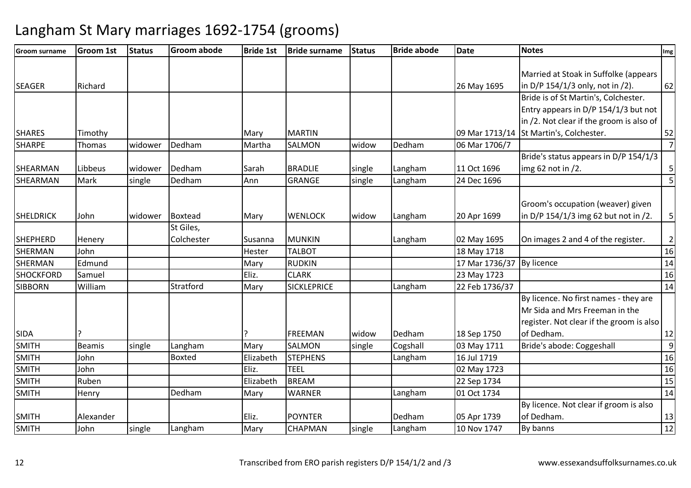| <b>Groom surname</b> | <b>Groom 1st</b> | <b>Status</b> | <b>Groom abode</b> | <b>Bride 1st</b> | <b>Bride surname</b> | <b>Status</b> | <b>Bride abode</b> | <b>Date</b>    | Notes                                    | Img            |
|----------------------|------------------|---------------|--------------------|------------------|----------------------|---------------|--------------------|----------------|------------------------------------------|----------------|
|                      |                  |               |                    |                  |                      |               |                    |                |                                          |                |
|                      |                  |               |                    |                  |                      |               |                    |                | Married at Stoak in Suffolke (appears    |                |
| <b>SEAGER</b>        | Richard          |               |                    |                  |                      |               |                    | 26 May 1695    | in D/P 154/1/3 only, not in /2).         | 62             |
|                      |                  |               |                    |                  |                      |               |                    |                | Bride is of St Martin's, Colchester.     |                |
|                      |                  |               |                    |                  |                      |               |                    |                | Entry appears in D/P 154/1/3 but not     |                |
|                      |                  |               |                    |                  |                      |               |                    |                | in /2. Not clear if the groom is also of |                |
| <b>SHARES</b>        | Timothy          |               |                    | Mary             | <b>MARTIN</b>        |               |                    |                | 09 Mar 1713/14 St Martin's, Colchester.  | 52             |
| <b>SHARPE</b>        | Thomas           | widower       | Dedham             | Martha           | <b>SALMON</b>        | widow         | Dedham             | 06 Mar 1706/7  |                                          | $\overline{7}$ |
|                      |                  |               |                    |                  |                      |               |                    |                | Bride's status appears in D/P 154/1/3    |                |
| SHEARMAN             | Libbeus          | widower       | Dedham             | Sarah            | <b>BRADLIE</b>       | single        | Langham            | 11 Oct 1696    | img 62 not in /2.                        | 5 <sup>1</sup> |
| SHEARMAN             | Mark             | single        | Dedham             | Ann              | <b>GRANGE</b>        | single        | Langham            | 24 Dec 1696    |                                          | 5 <sup>1</sup> |
|                      |                  |               |                    |                  |                      |               |                    |                |                                          |                |
|                      |                  |               |                    |                  |                      |               |                    |                | Groom's occupation (weaver) given        |                |
| <b>SHELDRICK</b>     | John             | widower       | Boxtead            | Mary             | <b>WENLOCK</b>       | widow         | Langham            | 20 Apr 1699    | in D/P 154/1/3 img 62 but not in /2.     | 5              |
|                      |                  |               | St Giles,          |                  |                      |               |                    |                |                                          |                |
| <b>SHEPHERD</b>      | Henery           |               | Colchester         | Susanna          | <b>MUNKIN</b>        |               | Langham            | 02 May 1695    | On images 2 and 4 of the register.       | $\overline{2}$ |
| <b>SHERMAN</b>       | John             |               |                    | <b>Hester</b>    | <b>TALBOT</b>        |               |                    | 18 May 1718    |                                          | 16             |
| <b>SHERMAN</b>       | Edmund           |               |                    | Mary             | <b>RUDKIN</b>        |               |                    | 17 Mar 1736/37 | By licence                               | 14             |
| <b>SHOCKFORD</b>     | Samuel           |               |                    | Eliz.            | <b>CLARK</b>         |               |                    | 23 May 1723    |                                          | 16             |
| <b>SIBBORN</b>       | William          |               | Stratford          | Mary             | <b>SICKLEPRICE</b>   |               | Langham            | 22 Feb 1736/37 |                                          | 14             |
|                      |                  |               |                    |                  |                      |               |                    |                | By licence. No first names - they are    |                |
|                      |                  |               |                    |                  |                      |               |                    |                | Mr Sida and Mrs Freeman in the           |                |
|                      |                  |               |                    |                  |                      |               |                    |                | register. Not clear if the groom is also |                |
| <b>SIDA</b>          |                  |               |                    |                  | <b>FREEMAN</b>       | widow         | Dedham             | 18 Sep 1750    | of Dedham.                               | 12             |
| <b>SMITH</b>         | Beamis           | single        | Langham            | Mary             | <b>SALMON</b>        | single        | Cogshall           | 03 May 1711    | Bride's abode: Coggeshall                | $\overline{9}$ |
| <b>SMITH</b>         | John             |               | <b>Boxted</b>      | Elizabeth        | <b>STEPHENS</b>      |               | Langham            | 16 Jul 1719    |                                          | 16             |
| <b>SMITH</b>         | John             |               |                    | Eliz.            | <b>TEEL</b>          |               |                    | 02 May 1723    |                                          | 16             |
| <b>SMITH</b>         | Ruben            |               |                    | Elizabeth        | <b>BREAM</b>         |               |                    | 22 Sep 1734    |                                          | 15             |
| <b>SMITH</b>         | Henry            |               | Dedham             | Mary             | <b>WARNER</b>        |               | Langham            | 01 Oct 1734    |                                          | 14             |
|                      |                  |               |                    |                  |                      |               |                    |                | By licence. Not clear if groom is also   |                |
| <b>SMITH</b>         | Alexander        |               |                    | Eliz.            | <b>POYNTER</b>       |               | Dedham             | 05 Apr 1739    | of Dedham.                               | 13             |
| <b>SMITH</b>         | John             | single        | Langham            | Mary             | CHAPMAN              | single        | Langham            | 10 Nov 1747    | By banns                                 | 12             |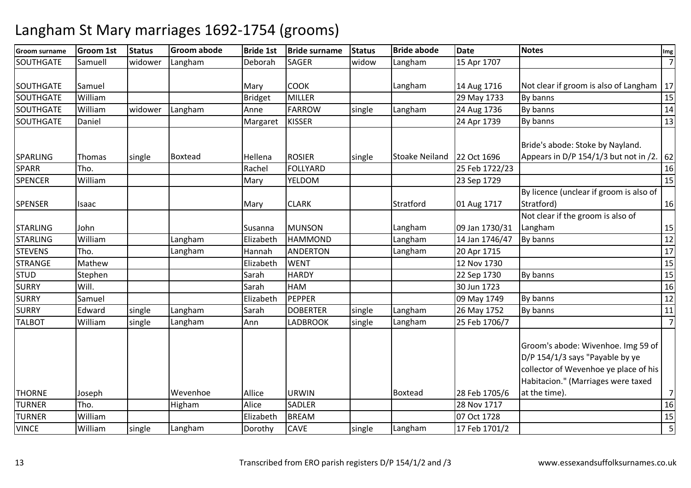| <b>Groom surname</b> | <b>Groom 1st</b> | <b>Status</b> | <b>Groom abode</b> | <b>Bride 1st</b> | <b>Bride surname</b> | <b>Status</b> | <b>Bride abode</b>    | <b>Date</b>    | <b>Notes</b>                                                                                                                                         | Img            |
|----------------------|------------------|---------------|--------------------|------------------|----------------------|---------------|-----------------------|----------------|------------------------------------------------------------------------------------------------------------------------------------------------------|----------------|
| SOUTHGATE            | Samuell          | widower       | Langham            | Deborah          | <b>SAGER</b>         | widow         | Langham               | 15 Apr 1707    |                                                                                                                                                      | $\overline{7}$ |
| <b>SOUTHGATE</b>     | Samuel           |               |                    | Mary             | <b>COOK</b>          |               | Langham               | 14 Aug 1716    | Not clear if groom is also of Langham                                                                                                                | 17             |
| <b>SOUTHGATE</b>     | William          |               |                    | <b>Bridget</b>   | <b>MILLER</b>        |               |                       | 29 May 1733    | By banns                                                                                                                                             | 15             |
| <b>SOUTHGATE</b>     | William          | widower       | Langham            | Anne             | <b>FARROW</b>        | single        | Langham               | 24 Aug 1736    | By banns                                                                                                                                             | 14             |
| <b>SOUTHGATE</b>     | Daniel           |               |                    | Margaret         | <b>KISSER</b>        |               |                       | 24 Apr 1739    | By banns                                                                                                                                             | 13             |
| <b>SPARLING</b>      |                  |               | <b>Boxtead</b>     | Hellena          | <b>ROSIER</b>        |               | <b>Stoake Neiland</b> | 22 Oct 1696    | Bride's abode: Stoke by Nayland.<br>Appears in D/P 154/1/3 but not in /2.                                                                            | 62             |
| <b>SPARR</b>         | Thomas<br>Tho.   | single        |                    |                  | <b>FOLLYARD</b>      | single        |                       |                |                                                                                                                                                      | 16             |
|                      |                  |               |                    | Rachel           |                      |               |                       | 25 Feb 1722/23 |                                                                                                                                                      |                |
| <b>SPENCER</b>       | William          |               |                    | Mary             | YELDOM               |               |                       | 23 Sep 1729    |                                                                                                                                                      | 15             |
| <b>SPENSER</b>       | Isaac            |               |                    | Mary             | <b>CLARK</b>         |               | Stratford             | 01 Aug 1717    | By licence (unclear if groom is also of<br>Stratford)                                                                                                | 16             |
| <b>STARLING</b>      | John             |               |                    | Susanna          | <b>MUNSON</b>        |               | Langham               | 09 Jan 1730/31 | Not clear if the groom is also of<br>Langham                                                                                                         | 15             |
| <b>STARLING</b>      | William          |               | Langham            | Elizabeth        | <b>HAMMOND</b>       |               | Langham               | 14 Jan 1746/47 | By banns                                                                                                                                             | 12             |
| <b>STEVENS</b>       | Tho.             |               | Langham            | Hannah           | <b>ANDERTON</b>      |               | Langham               | 20 Apr 1715    |                                                                                                                                                      | 17             |
| <b>STRANGE</b>       | Mathew           |               |                    | Elizabeth        | <b>WENT</b>          |               |                       | 12 Nov 1730    |                                                                                                                                                      | 15             |
| <b>STUD</b>          | Stephen          |               |                    | Sarah            | <b>HARDY</b>         |               |                       | 22 Sep 1730    | By banns                                                                                                                                             | 15             |
| <b>SURRY</b>         | Will.            |               |                    | Sarah            | <b>HAM</b>           |               |                       | 30 Jun 1723    |                                                                                                                                                      | 16             |
| <b>SURRY</b>         | Samuel           |               |                    | Elizabeth        | PEPPER               |               |                       | 09 May 1749    | By banns                                                                                                                                             | 12             |
| <b>SURRY</b>         | Edward           | single        | Langham            | Sarah            | <b>DOBERTER</b>      | single        | Langham               | 26 May 1752    | By banns                                                                                                                                             | 11             |
| <b>TALBOT</b>        | William          | single        | Langham            | Ann              | LADBROOK             | single        | Langham               | 25 Feb 1706/7  |                                                                                                                                                      | $\overline{7}$ |
|                      |                  |               |                    |                  |                      |               |                       |                | Groom's abode: Wivenhoe. Img 59 of<br>D/P 154/1/3 says "Payable by ye<br>collector of Wevenhoe ye place of his<br>Habitacion." (Marriages were taxed |                |
| <b>THORNE</b>        | Joseph           |               | Wevenhoe           | Allice           | URWIN                |               | Boxtead               | 28 Feb 1705/6  | at the time).                                                                                                                                        | $\overline{7}$ |
| <b>TURNER</b>        | Tho.             |               | Higham             | Alice            | <b>SADLER</b>        |               |                       | 28 Nov 1717    |                                                                                                                                                      | 16             |
| <b>TURNER</b>        | William          |               |                    | Elizabeth        | <b>BREAM</b>         |               |                       | 07 Oct 1728    |                                                                                                                                                      | 15             |
| <b>VINCE</b>         | William          | single        | Langham            | Dorothy          | <b>CAVE</b>          | single        | Langham               | 17 Feb 1701/2  |                                                                                                                                                      | 5              |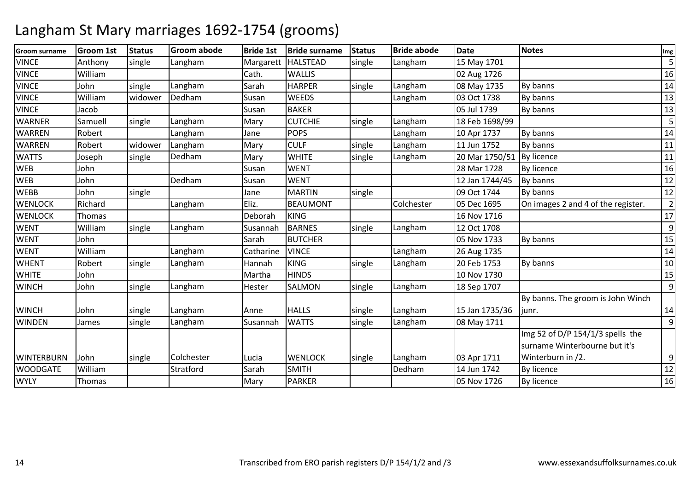| <b>Groom surname</b> | Groom 1st | <b>Status</b> | <b>Groom abode</b> | <b>Bride 1st</b> | <b>Bride surname</b> | <b>Status</b> | <b>Bride abode</b> | Date           | <b>Notes</b>                       | Img            |
|----------------------|-----------|---------------|--------------------|------------------|----------------------|---------------|--------------------|----------------|------------------------------------|----------------|
| <b>VINCE</b>         | Anthony   | single        | Langham            | Margarett        | <b>HALSTEAD</b>      | single        | Langham            | 15 May 1701    |                                    | 5              |
| <b>VINCE</b>         | William   |               |                    | Cath.            | <b>WALLIS</b>        |               |                    | 02 Aug 1726    |                                    | 16             |
| <b>VINCE</b>         | John      | single        | Langham            | Sarah            | <b>HARPER</b>        | single        | Langham            | 08 May 1735    | By banns                           | 14             |
| <b>VINCE</b>         | William   | widower       | Dedham             | Susan            | WEEDS                |               | Langham            | 03 Oct 1738    | By banns                           | 13             |
| <b>VINCE</b>         | Jacob     |               |                    | Susan            | <b>BAKER</b>         |               |                    | 05 Jul 1739    | By banns                           | 13             |
| <b>WARNER</b>        | Samuell   | single        | Langham            | Mary             | <b>CUTCHIE</b>       | single        | Langham            | 18 Feb 1698/99 |                                    | 5              |
| <b>WARREN</b>        | Robert    |               | Langham            | Jane             | <b>POPS</b>          |               | Langham            | 10 Apr 1737    | By banns                           | 14             |
| <b>WARREN</b>        | Robert    | widower       | Langham            | Mary             | <b>CULF</b>          | single        | Langham            | 11 Jun 1752    | By banns                           | 11             |
| <b>WATTS</b>         | Joseph    | single        | Dedham             | Mary             | <b>WHITE</b>         | single        | Langham            | 20 Mar 1750/51 | By licence                         | 11             |
| <b>WEB</b>           | John      |               |                    | Susan            | <b>WENT</b>          |               |                    | 28 Mar 1728    | By licence                         | 16             |
| <b>WEB</b>           | John      |               | Dedham             | Susan            | <b>WENT</b>          |               |                    | 12 Jan 1744/45 | By banns                           | 12             |
| <b>WEBB</b>          | John      | single        |                    | Jane             | <b>MARTIN</b>        | single        |                    | 09 Oct 1744    | By banns                           | $12\,$         |
| <b>WENLOCK</b>       | Richard   |               | Langham            | Eliz.            | <b>BEAUMONT</b>      |               | Colchester         | 05 Dec 1695    | On images 2 and 4 of the register. | $\overline{2}$ |
| <b>WENLOCK</b>       | Thomas    |               |                    | Deborah          | <b>KING</b>          |               |                    | 16 Nov 1716    |                                    | 17             |
| <b>WENT</b>          | William   | single        | Langham            | Susannah         | <b>BARNES</b>        | single        | Langham            | 12 Oct 1708    |                                    | $\overline{9}$ |
| <b>WENT</b>          | John      |               |                    | Sarah            | <b>BUTCHER</b>       |               |                    | 05 Nov 1733    | By banns                           | 15             |
| <b>WENT</b>          | William   |               | Langham            | Catharine        | <b>VINCE</b>         |               | Langham            | 26 Aug 1735    |                                    | 14             |
| <b>WHENT</b>         | Robert    | single        | Langham            | Hannah           | <b>KING</b>          | single        | Langham            | 20 Feb 1753    | By banns                           | 10             |
| <b>WHITE</b>         | John      |               |                    | Martha           | <b>HINDS</b>         |               |                    | 10 Nov 1730    |                                    | 15             |
| <b>WINCH</b>         | John      | single        | Langham            | Hester           | SALMON               | single        | Langham            | 18 Sep 1707    |                                    | 9              |
|                      |           |               |                    |                  |                      |               |                    |                | By banns. The groom is John Winch  |                |
| <b>WINCH</b>         | John      | single        | Langham            | Anne             | <b>HALLS</b>         | single        | Langham            | 15 Jan 1735/36 | junr.                              | 14             |
| <b>WINDEN</b>        | James     | single        | Langham            | Susannah         | <b>WATTS</b>         | single        | Langham            | 08 May 1711    |                                    | 9              |
|                      |           |               |                    |                  |                      |               |                    |                | Img 52 of D/P 154/1/3 spells the   |                |
|                      |           |               |                    |                  |                      |               |                    |                | surname Winterbourne but it's      |                |
| <b>WINTERBURN</b>    | John      | single        | Colchester         | Lucia            | <b>WENLOCK</b>       | single        | Langham            | 03 Apr 1711    | Winterburn in /2.                  | 9              |
| <b>WOODGATE</b>      | William   |               | Stratford          | Sarah            | <b>SMITH</b>         |               | Dedham             | 14 Jun 1742    | By licence                         | $12\,$         |
| <b>WYLY</b>          | Thomas    |               |                    | Mary             | <b>PARKER</b>        |               |                    | 05 Nov 1726    | By licence                         | 16             |